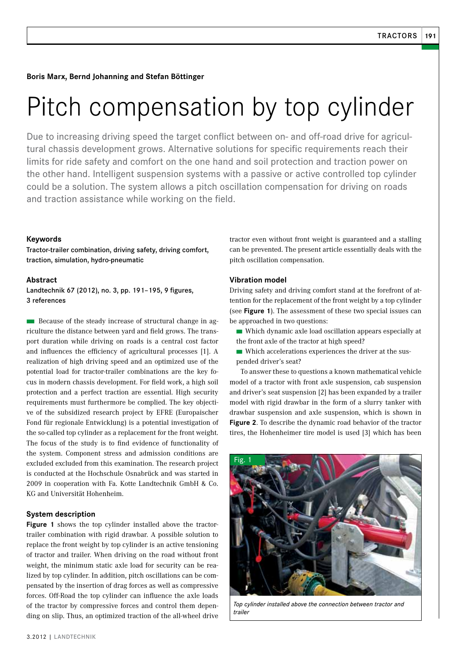**Boris Marx, Bernd Johanning and Stefan Böttinger**

# Pitch compensation by top cylinder

Due to increasing driving speed the target conflict between on- and off-road drive for agricultural chassis development grows. Alternative solutions for specific requirements reach their limits for ride safety and comfort on the one hand and soil protection and traction power on the other hand. Intelligent suspension systems with a passive or active controlled top cylinder could be a solution. The system allows a pitch oscillation compensation for driving on roads and traction assistance while working on the field.

## **Keywords**

Tractor-trailer combination, driving safety, driving comfort, traction, simulation, hydro-pneumatic

#### **Abstract**

Landtechnik 67 (2012), no. 3, pp. 191–195, 9 figures, 3 references

**n** Because of the steady increase of structural change in agriculture the distance between yard and field grows. The transport duration while driving on roads is a central cost factor and influences the efficiency of agricultural processes [1]. A realization of high driving speed and an optimized use of the potential load for tractor-trailer combinations are the key focus in modern chassis development. For field work, a high soil protection and a perfect traction are essential. High security requirements must furthermore be complied. The key objective of the subsidized research project by EFRE (Europaischer Fond für regionale Entwicklung) is a potential investigation of the so-called top cylinder as a replacement for the front weight. The focus of the study is to find evidence of functionality of the system. Component stress and admission conditions are excluded excluded from this examination. The research project is conducted at the Hochschule Osnabrück and was started in 2009 in cooperation with Fa. Kotte Landtechnik GmbH & Co. KG and Universität Hohenheim.

## **System description**

**Figure 1** shows the top cylinder installed above the tractortrailer combination with rigid drawbar. A possible solution to replace the front weight by top cylinder is an active tensioning of tractor and trailer. When driving on the road without front weight, the minimum static axle load for security can be realized by top cylinder. In addition, pitch oscillations can be compensated by the insertion of drag forces as well as compressive forces. Off-Road the top cylinder can influence the axle loads of the tractor by compressive forces and control them depending on slip. Thus, an optimized traction of the all-wheel drive

tractor even without front weight is guaranteed and a stalling can be prevented. The present article essentially deals with the pitch oscillation compensation.

### **Vibration model**

Driving safety and driving comfort stand at the forefront of attention for the replacement of the front weight by a top cylinder (see **Figure 1**). The assessment of these two special issues can be approached in two questions:

- Which dynamic axle load oscillation appears especially at the front axle of the tractor at high speed?
- Which accelerations experiences the driver at the suspended driver's seat?

To answer these to questions a known mathematical vehicle model of a tractor with front axle suspension, cab suspension and driver's seat suspension [2] has been expanded by a trailer model with rigid drawbar in the form of a slurry tanker with drawbar suspension and axle suspension, which is shown in **Figure 2**. To describe the dynamic road behavior of the tractor tires, the Hohenheimer tire model is used [3] which has been



*Top cylinder installed above the connection between tractor and trailer*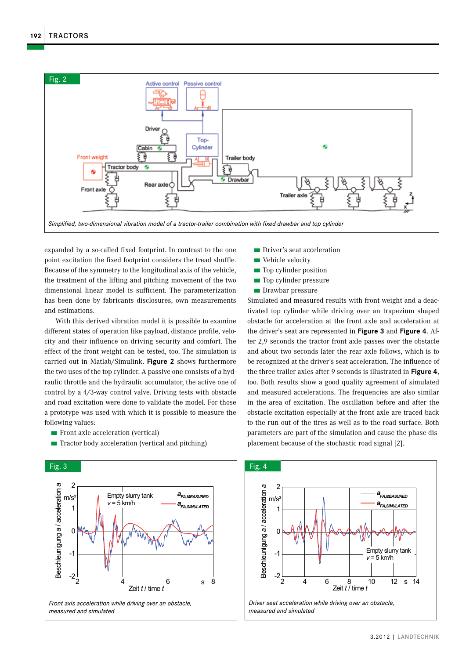

expanded by a so-called fixed footprint. In contrast to the one point excitation the fixed footprint considers the tread shuffle. Because of the symmetry to the longitudinal axis of the vehicle, the treatment of the lifting and pitching movement of the two dimensional linear model is sufficient. The parameterization has been done by fabricants disclosures, own measurements and estimations.

With this derived vibration model it is possible to examine different states of operation like payload, distance profile, velocity and their influence on driving security and comfort. The effect of the front weight can be tested, too. The simulation is carried out in Matlab/Simulink. **Figure 2** shows furthermore the two uses of the top cylinder. A passive one consists of a hydraulic throttle and the hydraulic accumulator, the active one of control by a 4/3-way control valve. Driving tests with obstacle and road excitation were done to validate the model. For those a prototype was used with which it is possible to measure the following values:

■ Front axle acceleration (vertical)



■ Tractor body acceleration (vertical and pitching)

- Driver's seat acceleration
- Vehicle velocity
- Top cylinder position
- Top cylinder pressure
- Drawbar pressure

Simulated and measured results with front weight and a deactivated top cylinder while driving over an trapezium shaped obstacle for acceleration at the front axle and acceleration at the driver's seat are represented in **Figure 3** and **Figure 4**. After 2,9 seconds the tractor front axle passes over the obstacle and about two seconds later the rear axle follows, which is to be recognized at the driver's seat acceleration. The influence of the three trailer axles after 9 seconds is illustrated in **Figure 4**, too. Both results show a good quality agreement of simulated and measured accelerations. The frequencies are also similar in the area of excitation. The oscillation before and after the obstacle excitation especially at the front axle are traced back to the run out of the tires as well as to the road surface. Both parameters are part of the simulation and cause the phase displacement because of the stochastic road signal [2].

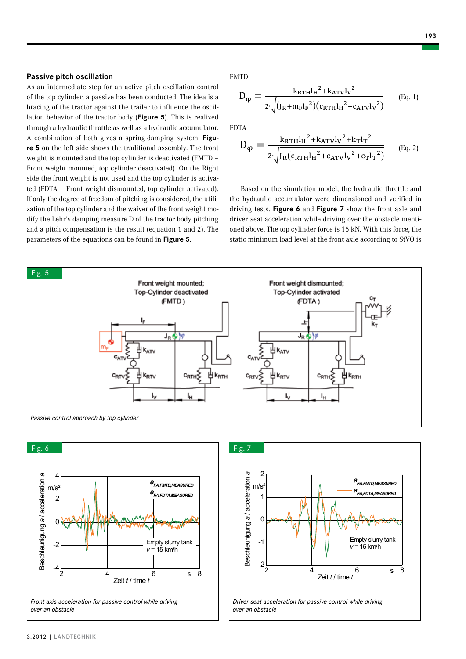Dφ des Traktorrumpf-Nickens derart beeinflusst werden kann, dass eine

Topzylinders bei gleichzeitigem Verzicht auf das Frontgewicht das Dämpfungsmaß Dφ des Traktorrumpf-Nickens derart beeinflusst werden kann, dass eine

Vorderachse nach § 38 der StVZO eingestellt und das Dämpfungsmaß D<sup>φ</sup> ist um 7 %

Die Topzylinderkraft beträgt 15 kN,. Mit dieser ist die statische Mindestlast an der

#### **Passive pitch oscillation**

As an intermediate step for an active pitch oscillation control of the top cylinder, a passive has been conducted. The idea is a bracing of the tractor against the trailer to influence the oscillation behavior of the tractor body (**Figure 5**). This is realized through a hydraulic throttle as well as a hydraulic accumulator. A combination of both gives a spring-damping system. **Figure 5** on the left side shows the traditional assembly. The front weight is mounted and the top cylinder is deactivated (FMTD – Front weight mounted, top cylinder deactivated). On the Right side the front weight is not used and the top cylinder is activated (FDTA – Front weight dismounted, top cylinder activated). If only the degree of freedom of pitching is considered, the utilization of the top cylinder and the waiver of the front weight modify the Lehr's damping measure D of the tractor body pitching and a pitch compensation is the result (equation 1 and 2). The parameters of the equations can be found in **Figure 5**. Anhand des Simulationsmodells wurden eine Drossel und ein Hydrospeicher

FMTD Schwingungstilgung erfolgt. FMTD

$$
\mathbf{D}_{\varphi} = \frac{\mathbf{k}_{\text{RFH}} \mathbf{l}_{\text{H}}^{2} + \mathbf{k}_{\text{ATV}} \mathbf{l}_{\text{V}}^{2}}{2 \cdot \sqrt{(\mathbf{J}_{\text{R}} + \mathbf{m}_{\text{F}} \mathbf{l}_{\text{F}}^{2})(\mathbf{c}_{\text{RFH}} \mathbf{l}_{\text{H}}^{2} + \mathbf{c}_{\text{ATV}} \mathbf{l}_{\text{V}}^{2})}}
$$
(Eq. 1)  
lized

FDTA

$$
\begin{array}{ll}\n\text{Bip} & \text{FPIA} \\
\text{Fip} & \text{D}_{\varphi} = \frac{k_{\text{RTH}}l_{\text{H}}^{2} + k_{\text{ATV}}l_{\text{V}}^{2} + k_{\text{T}}l_{\text{T}}^{2}}{2 \cdot \sqrt{J_{\text{R}}(c_{\text{RTH}}l_{\text{H}}^{2} + c_{\text{ATV}}l_{\text{V}}^{2} + c_{\text{T}}l_{\text{T}}^{2})}} \n\end{array} \tag{Eq. 2}
$$

tiva-<br>ted). Based on the simulation model, the hydraulic throttle and **produce** utili-<br>the hydraulic accumulator were dimensioned and verified in mo- driving tests. Figure 6 and Figure 7 show the front axle and fahrersitation while driving over the obstacle menu-<br>The oned above. The top cylinder force is 15 kN. With this force, the static minimum load level at the front axle according to StVO is driver seat acceleration while driving over the obstacle menti-



Beschleunigung





**Fig. 6: From axis acceleration for passive control which control which control which control which control which control which control which control which control which control which control which control which control wh** *Driver seat acceleration for passive control while driving over an obstacle*